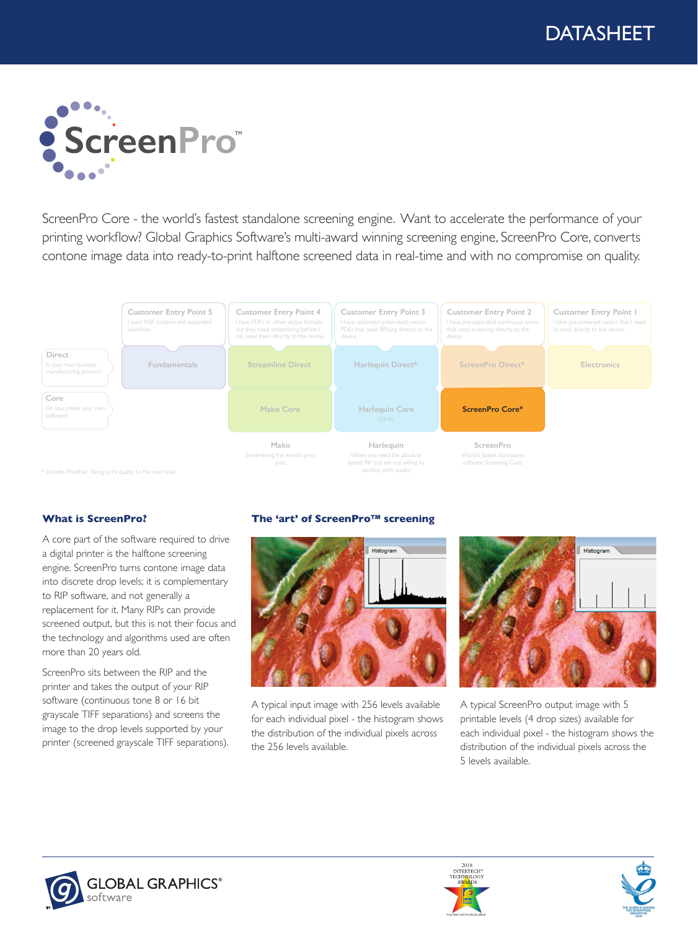

ScreenPro Core - the world's fastest standalone screening engine. Want to accelerate the performance of your printing workflow? Global Graphics Software's multi-award winning screening engine, ScreenPro Core, converts contone image data into ready-to-print halftone screened data in real-time and with no compromise on quality.



\* Includes PrintFlat: Taking print quality to the next level

### **What is ScreenPro?**

A core part of the software required to drive a digital printer is the halftone screening engine. ScreenPro turns contone image data into discrete drop levels; it is complementary to RIP software, and not generally a replacement for it. Many RIPs can provide screened output, but this is not their focus and the technology and algorithms used are often more than 20 years old.

ScreenPro sits between the RIP and the printer and takes the output of your RIP software (continuous tone 8 or 16 bit grayscale TIFF separations) and screens the image to the drop levels supported by your printer (screened grayscale TIFF separations).

### **The 'art' of ScreenPro™ screening**



A typical input image with 256 levels available for each individual pixel - the histogram shows the distribution of the individual pixels across the 256 levels available.



A typical ScreenPro output image with 5 printable levels (4 drop sizes) available for each individual pixel - the histogram shows the distribution of the individual pixels across the 5 levels available.